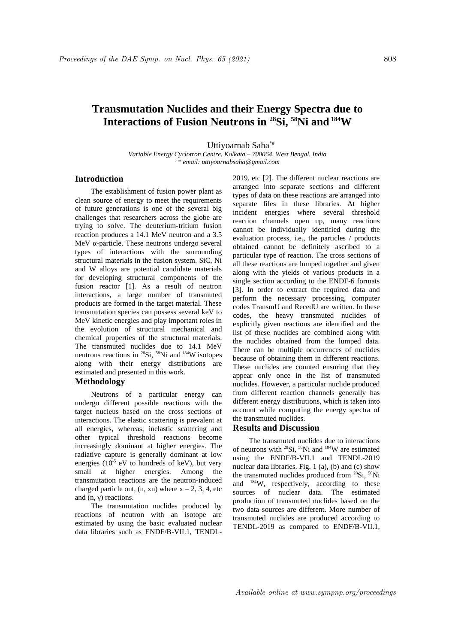# **Transmutation Nuclides and their Energy Spectra due to Interactions of Fusion Neutrons in <sup>28</sup>Si, <sup>58</sup>Ni and<sup>184</sup>W**

Uttiyoarnab Saha\*#

*Variable Energy Cyclotron Centre, Kolkata – 700064, West Bengal, India . \* email: uttiyoarnabsaha@gmail.com*

## **Introduction**

The establishment of fusion power plant as clean source of energy to meet the requirements of future generations is one of the several big challenges that researchers across the globe are trying to solve. The deuterium-tritium fusion reaction produces a 14.1 MeV neutron and a 3.5 MeV α-particle. These neutrons undergo several types of interactions with the surrounding structural materials in the fusion system. SiC, Ni and W alloys are potential candidate materials for developing structural components of the fusion reactor [1]. As a result of neutron interactions, a large number of transmuted products are formed in the target material. These transmutation species can possess several keV to MeV kinetic energies and play important roles in the evolution of structural mechanical and chemical properties of the structural materials. The transmuted nuclides due to 14.1 MeV neutrons reactions in  $^{28}Si$ ,  $^{58}Ni$  and  $^{184}W$  isotopes along with their energy distributions are estimated and presented in this work.

## **Methodology**

Neutrons of a particular energy can undergo different possible reactions with the target nucleus based on the cross sections of interactions. The elastic scattering is prevalent at all energies, whereas, inelastic scattering and other typical threshold reactions become increasingly dominant at higher energies. The radiative capture is generally dominant at low energies  $(10^{-5}$  eV to hundreds of keV), but very small at higher energies. Among the transmutation reactions are the neutron-induced charged particle out,  $(n, xn)$  where  $x = 2, 3, 4$ , etc and  $(n, γ)$  reactions.

The transmutation nuclides produced by reactions of neutron with an isotope are estimated by using the basic evaluated nuclear data libraries such as ENDF/B-VII.1, TENDL- 2019, etc [2]. The different nuclear reactions are arranged into separate sections and different types of data on these reactions are arranged into separate files in these libraries. At higher incident energies where several threshold reaction channels open up, many reactions cannot be individually identified during the evaluation process, i.e., the particles / products obtained cannot be definitely ascribed to a particular type of reaction. The cross sections of all these reactions are lumped together and given along with the yields of various products in a single section according to the ENDF-6 formats [3]. In order to extract the required data and perform the necessary processing, computer codes TransmU and RecedU are written. In these codes, the heavy transmuted nuclides of explicitly given reactions are identified and the list of these nuclides are combined along with the nuclides obtained from the lumped data. There can be multiple occurrences of nuclides because of obtaining them in different reactions. These nuclides are counted ensuring that they appear only once in the list of transmuted nuclides. However, a particular nuclide produced from different reaction channels generally has different energy distributions, which is taken into account while computing the energy spectra of the transmuted nuclides.

### **Results and Discussion**

The transmuted nuclides due to interactions of neutrons with  $^{28}Si$ ,  $^{58}Ni$  and  $^{184}W$  are estimated using the ENDF/B-VII.1 and TENDL-2019 nuclear data libraries. Fig. 1 (a), (b) and (c) show the transmuted nuclides produced from <sup>28</sup>Si, <sup>58</sup>Ni and  $184$ W, respectively, according to these sources of nuclear data. The estimated production of transmuted nuclides based on the two data sources are different. More number of transmuted nuclides are produced according to TENDL-2019 as compared to ENDF/B-VII.1,